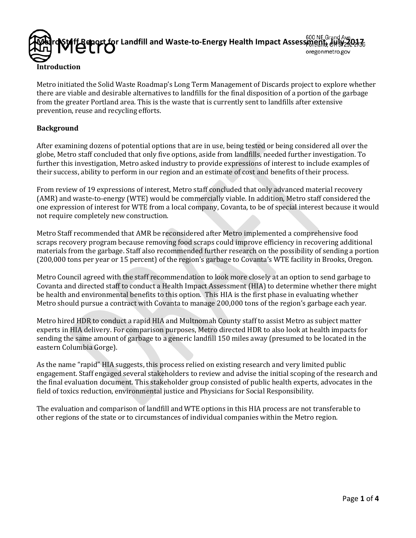

Metro initiated the Solid Waste Roadmap's Long Term Management of Discards project to explore whether there are viable and desirable alternatives to landfills for the final disposition of a portion of the garbage from the greater Portland area. This is the waste that is currently sent to landfills after extensive prevention, reuse and recycling efforts.

### **Background**

After examining dozens of potential options that are in use, being tested or being considered all over the globe, Metro staff concluded that only five options, aside from landfills, needed further investigation. To further this investigation, Metro asked industry to provide expressions of interest to include examples of their success, ability to perform in our region and an estimate of cost and benefits of their process.

From review of 19 expressions of interest, Metro staff concluded that only advanced material recovery (AMR) and waste-to-energy (WTE) would be commercially viable. In addition, Metro staff considered the one expression of interest for WTE from a local company, Covanta, to be of special interest because it would not require completely new construction.

Metro Staff recommended that AMR be reconsidered after Metro implemented a comprehensive food scraps recovery program because removing food scraps could improve efficiency in recovering additional materials from the garbage. Staff also recommended further research on the possibility of sending a portion (200,000 tons per year or 15 percent) of the region's garbage to Covanta's WTE facility in Brooks, Oregon.

Metro Council agreed with the staff recommendation to look more closely at an option to send garbage to Covanta and directed staff to conduct a Health Impact Assessment (HIA) to determine whether there might be health and environmental benefits to this option. This HIA is the first phase in evaluating whether Metro should pursue a contract with Covanta to manage 200,000 tons of the region's garbage each year.

Metro hired HDR to conduct a rapid HIA and Multnomah County staff to assist Metro as subject matter experts in HIA delivery. For comparison purposes, Metro directed HDR to also look at health impacts for sending the same amount of garbage to a generic landfill 150 miles away (presumed to be located in the eastern Columbia Gorge).

As the name "rapid" HIA suggests, this process relied on existing research and very limited public engagement. Staff engaged several stakeholders to review and advise the initial scoping of the research and the final evaluation document. This stakeholder group consisted of public health experts, advocates in the field of toxics reduction, environmental justice and Physicians for Social Responsibility.

The evaluation and comparison of landfill and WTE options in this HIA process are not transferable to other regions of the state or to circumstances of individual companies within the Metro region.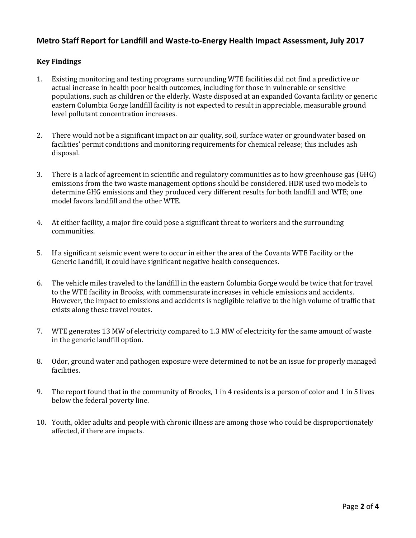# **Metro Staff Report for Landfill and Waste-to-Energy Health Impact Assessment, July 2017**

### **Key Findings**

- 1. Existing monitoring and testing programs surrounding WTE facilities did not find a predictive or actual increase in health poor health outcomes, including for those in vulnerable or sensitive populations, such as children or the elderly. Waste disposed at an expanded Covanta facility or generic eastern Columbia Gorge landfill facility is not expected to result in appreciable, measurable ground level pollutant concentration increases.
- 2. There would not be a significant impact on air quality, soil, surface water or groundwater based on facilities' permit conditions and monitoring requirements for chemical release; this includes ash disposal.
- 3. There is a lack of agreement in scientific and regulatory communities as to how greenhouse gas (GHG) emissions from the two waste management options should be considered. HDR used two models to determine GHG emissions and they produced very different results for both landfill and WTE; one model favors landfill and the other WTE.
- 4. At either facility, a major fire could pose a significant threat to workers and the surrounding communities.
- 5. If a significant seismic event were to occur in either the area of the Covanta WTE Facility or the Generic Landfill, it could have significant negative health consequences.
- 6. The vehicle miles traveled to the landfill in the eastern Columbia Gorge would be twice that for travel to the WTE facility in Brooks, with commensurate increases in vehicle emissions and accidents. However, the impact to emissions and accidents is negligible relative to the high volume of traffic that exists along these travel routes.
- 7. WTE generates 13 MW of electricity compared to 1.3 MW of electricity for the same amount of waste in the generic landfill option.
- 8. Odor, ground water and pathogen exposure were determined to not be an issue for properly managed facilities.
- 9. The report found that in the community of Brooks, 1 in 4 residents is a person of color and 1 in 5 lives below the federal poverty line.
- 10. Youth, older adults and people with chronic illness are among those who could be disproportionately affected, if there are impacts.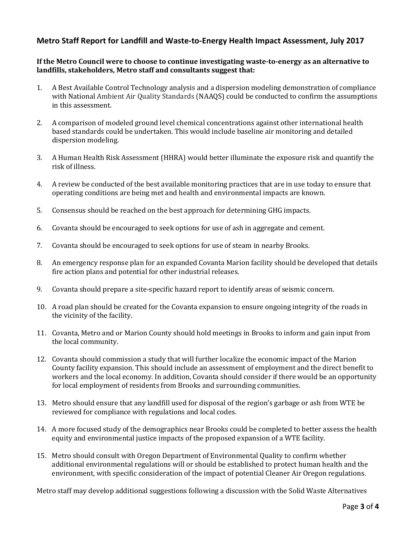# **Metro Staff Report for Landfill and Waste-to-Energy Health Impact Assessment, July 2017**

### **If the Metro Council were to choose to continue investigating waste-to-energy as an alternative to landfills, stakeholders, Metro staff and consultants suggest that:**

- 1. A Best Available Control Technology analysis and a dispersion modeling demonstration of compliance with National Ambient Air Quality Standards (NAAQS) could be conducted to confirm the assumptions in this assessment.
- 2. A comparison of modeled ground level chemical concentrations against other international health based standards could be undertaken. This would include baseline air monitoring and detailed dispersion modeling.
- 3. A Human Health Risk Assessment (HHRA) would better illuminate the exposure risk and quantify the risk of illness.
- 4. A review be conducted of the best available monitoring practices that are in use today to ensure that operating conditions are being met and health and environmental impacts are known.
- 5. Consensus should be reached on the best approach for determining GHG impacts.
- 6. Covanta should be encouraged to seek options for use of ash in aggregate and cement.
- 7. Covanta should be encouraged to seek options for use of steam in nearby Brooks.
- 8. An emergency response plan for an expanded Covanta Marion facility should be developed that details fire action plans and potential for other industrial releases.
- 9. Covanta should prepare a site-specific hazard report to identify areas of seismic concern.
- 10. A road plan should be created for the Covanta expansion to ensure ongoing integrity of the roads in the vicinity of the facility.
- 11. Covanta, Metro and or Marion County should hold meetings in Brooks to inform and gain input from the local community.
- 12. Covanta should commission a study that will further localize the economic impact of the Marion County facility expansion. This should include an assessment of employment and the direct benefit to workers and the local economy. In addition, Covanta should consider if there would be an opportunity for local employment of residents from Brooks and surrounding communities.
- 13. Metro should ensure that any landfill used for disposal of the region's garbage or ash from WTE be reviewed for compliance with regulations and local codes.
- 14. A more focused study of the demographics near Brooks could be completed to better assess the health equity and environmental justice impacts of the proposed expansion of a WTE facility.
- 15. Metro should consult with Oregon Department of Environmental Quality to confirm whether additional environmental regulations will or should be established to protect human health and the environment, with specific consideration of the impact of potential Cleaner Air Oregon regulations.

Metro staff may develop additional suggestions following a discussion with the Solid Waste Alternatives